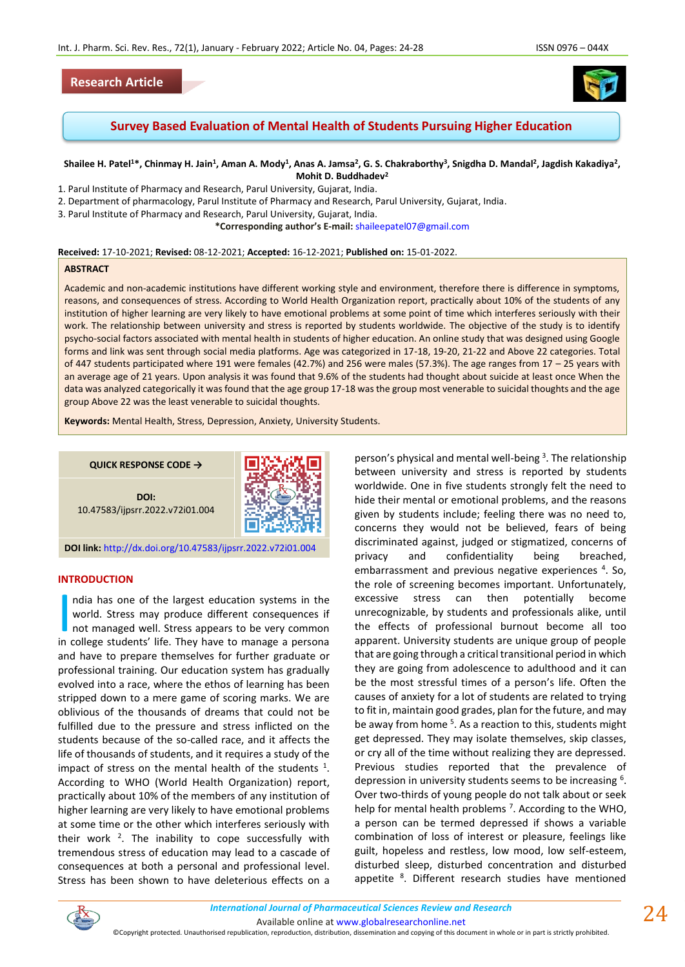## **Research Article**



**Survey Based Evaluation of Mental Health of Students Pursuing Higher Education**

#### Shailee H. Patel<sup>1\*</sup>, Chinmay H. Jain<sup>1</sup>, Aman A. Mody<sup>1</sup>, Anas A. Jamsa<sup>2</sup>, G. S. Chakraborthy<sup>3</sup>, Snigdha D. Mandal<sup>2</sup>, Jagdish Kakadiya<sup>2</sup>, **Mohit D. Buddhadev<sup>2</sup>**

- 1. Parul Institute of Pharmacy and Research, Parul University, Gujarat, India.
- 2. Department of pharmacology, Parul Institute of Pharmacy and Research, Parul University, Gujarat, India.
- 3. Parul Institute of Pharmacy and Research, Parul University, Gujarat, India.

**\*Corresponding author's E-mail:** [shaileepatel07@gmail.com](mailto:shaileepatel07@gmail.com)

#### **Received:** 17-10-2021; **Revised:** 08-12-2021; **Accepted:** 16-12-2021; **Published on:** 15-01-2022.

#### **ABSTRACT**

Academic and non-academic institutions have different working style and environment, therefore there is difference in symptoms, reasons, and consequences of stress. According to World Health Organization report, practically about 10% of the students of any institution of higher learning are very likely to have emotional problems at some point of time which interferes seriously with their work. The relationship between university and stress is reported by students worldwide. The objective of the study is to identify psycho-social factors associated with mental health in students of higher education. An online study that was designed using Google forms and link was sent through social media platforms. Age was categorized in 17-18, 19-20, 21-22 and Above 22 categories. Total of 447 students participated where 191 were females (42.7%) and 256 were males (57.3%). The age ranges from 17 – 25 years with an average age of 21 years. Upon analysis it was found that 9.6% of the students had thought about suicide at least once When the data was analyzed categorically it was found that the age group 17-18 was the group most venerable to suicidal thoughts and the age group Above 22 was the least venerable to suicidal thoughts.

**Keywords:** Mental Health, Stress, Depression, Anxiety, University Students.

**QUICK RESPONSE CODE →**

**DOI:** 10.47583/ijpsrr.2022.v72i01.004



**DOI link:** <http://dx.doi.org/10.47583/ijpsrr.2022.v72i01.004>

#### **INTRODUCTION**

ndia has one of the largest education systems in the world. Stress may produce different consequences if not managed well. Stress appears to be very common I ndia has one of the largest education systems in the world. Stress may produce different consequences if not managed well. Stress appears to be very common in college students' life. They have to manage a persona and have to prepare themselves for further graduate or professional training. Our education system has gradually evolved into a race, where the ethos of learning has been stripped down to a mere game of scoring marks. We are oblivious of the thousands of dreams that could not be fulfilled due to the pressure and stress inflicted on the students because of the so-called race, and it affects the life of thousands of students, and it requires a study of the impact of stress on the mental health of the students  $1$ . According to WHO (World Health Organization) report, practically about 10% of the members of any institution of higher learning are very likely to have emotional problems at some time or the other which interferes seriously with their work  $2$ . The inability to cope successfully with tremendous stress of education may lead to a cascade of consequences at both a personal and professional level. Stress has been shown to have deleterious effects on a

person's physical and mental well-being<sup>3</sup>. The relationship between university and stress is reported by students worldwide. One in five students strongly felt the need to hide their mental or emotional problems, and the reasons given by students include; feeling there was no need to, concerns they would not be believed, fears of being discriminated against, judged or stigmatized, concerns of privacy and confidentiality being breached, embarrassment and previous negative experiences <sup>4</sup>. So, the role of screening becomes important. Unfortunately, excessive stress can then potentially become unrecognizable, by students and professionals alike, until the effects of professional burnout become all too apparent. University students are unique group of people that are going through a critical transitional period in which they are going from adolescence to adulthood and it can be the most stressful times of a person's life. Often the causes of anxiety for a lot of students are related to trying to fit in, maintain good grades, plan for the future, and may be away from home <sup>5</sup>. As a reaction to this, students might get depressed. They may isolate themselves, skip classes, or cry all of the time without realizing they are depressed. Previous studies reported that the prevalence of depression in university students seems to be increasing <sup>6</sup>. Over two-thirds of young people do not talk about or seek help for mental health problems<sup>7</sup>. According to the WHO, a person can be termed depressed if shows a variable combination of loss of interest or pleasure, feelings like guilt, hopeless and restless, low mood, low self-esteem, disturbed sleep, disturbed concentration and disturbed appetite <sup>8</sup>. Different research studies have mentioned



Available online a[t www.globalresearchonline.net](http://www.globalresearchonline.net/)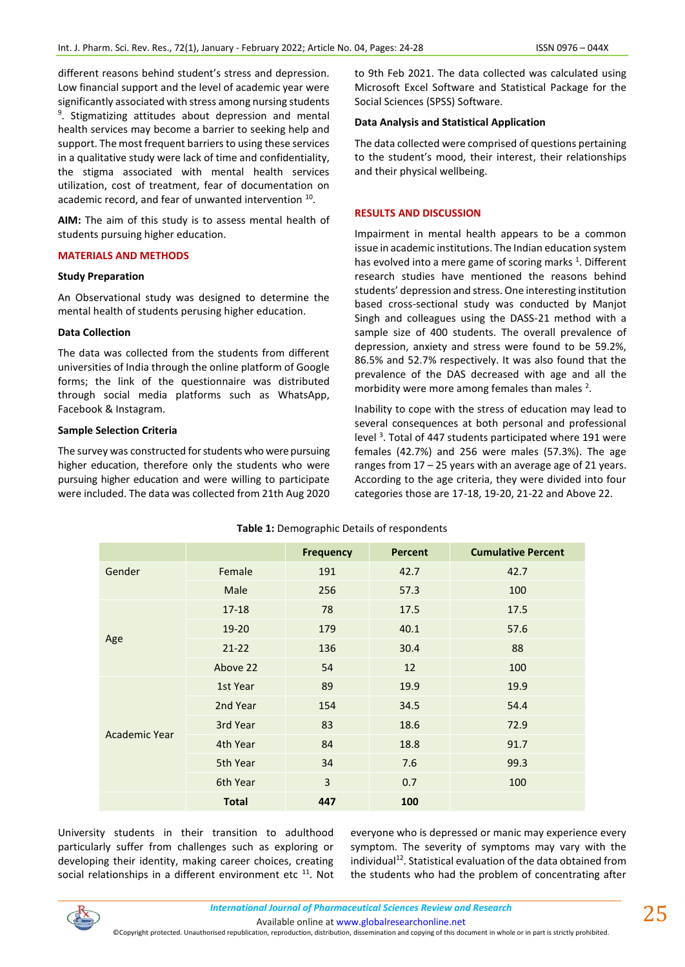different reasons behind student's stress and depression. Low financial support and the level of academic year were significantly associated with stress among nursing students 9 . Stigmatizing attitudes about depression and mental health services may become a barrier to seeking help and support. The most frequent barriers to using these services in a qualitative study were lack of time and confidentiality, the stigma associated with mental health services utilization, cost of treatment, fear of documentation on academic record, and fear of unwanted intervention <sup>10</sup>.

**AIM:** The aim of this study is to assess mental health of students pursuing higher education.

### **MATERIALS AND METHODS**

### **Study Preparation**

An Observational study was designed to determine the mental health of students perusing higher education.

## **Data Collection**

The data was collected from the students from different universities of India through the online platform of Google forms; the link of the questionnaire was distributed through social media platforms such as WhatsApp, Facebook & Instagram.

## **Sample Selection Criteria**

The survey was constructed for students who were pursuing higher education, therefore only the students who were pursuing higher education and were willing to participate were included. The data was collected from 21th Aug 2020 to 9th Feb 2021. The data collected was calculated using Microsoft Excel Software and Statistical Package for the Social Sciences (SPSS) Software.

## **Data Analysis and Statistical Application**

The data collected were comprised of questions pertaining to the student's mood, their interest, their relationships and their physical wellbeing.

### **RESULTS AND DISCUSSION**

Impairment in mental health appears to be a common issue in academic institutions. The Indian education system has evolved into a mere game of scoring marks  $^1$ . Different research studies have mentioned the reasons behind students' depression and stress. One interesting institution based cross-sectional study was conducted by Manjot Singh and colleagues using the DASS-21 method with a sample size of 400 students. The overall prevalence of depression, anxiety and stress were found to be 59.2%, 86.5% and 52.7% respectively. It was also found that the prevalence of the DAS decreased with age and all the morbidity were more among females than males  $2$ .

Inability to cope with the stress of education may lead to several consequences at both personal and professional level<sup>3</sup>. Total of 447 students participated where 191 were females (42.7%) and 256 were males (57.3%). The age ranges from 17 – 25 years with an average age of 21 years. According to the age criteria, they were divided into four categories those are 17-18, 19-20, 21-22 and Above 22.

|               |              | <b>Frequency</b> | <b>Percent</b> | <b>Cumulative Percent</b> |
|---------------|--------------|------------------|----------------|---------------------------|
| Gender        | Female       | 191              | 42.7           | 42.7                      |
|               | Male         | 256              | 57.3           | 100                       |
| Age           | $17 - 18$    | 78               | 17.5           | 17.5                      |
|               | 19-20        | 179              | 40.1           | 57.6                      |
|               | $21 - 22$    | 136              | 30.4           | 88                        |
|               | Above 22     | 54               | 12             | 100                       |
| Academic Year | 1st Year     | 89               | 19.9           | 19.9                      |
|               | 2nd Year     | 154              | 34.5           | 54.4                      |
|               | 3rd Year     | 83               | 18.6           | 72.9                      |
|               | 4th Year     | 84               | 18.8           | 91.7                      |
|               | 5th Year     | 34               | 7.6            | 99.3                      |
|               | 6th Year     | 3                | 0.7            | 100                       |
|               | <b>Total</b> | 447              | 100            |                           |

## **Table 1:** Demographic Details of respondents

University students in their transition to adulthood particularly suffer from challenges such as exploring or developing their identity, making career choices, creating social relationships in a different environment etc  $11$ . Not everyone who is depressed or manic may experience every symptom. The severity of symptoms may vary with the individual<sup>12</sup>. Statistical evaluation of the data obtained from the students who had the problem of concentrating after



Available online a[t www.globalresearchonline.net](http://www.globalresearchonline.net/)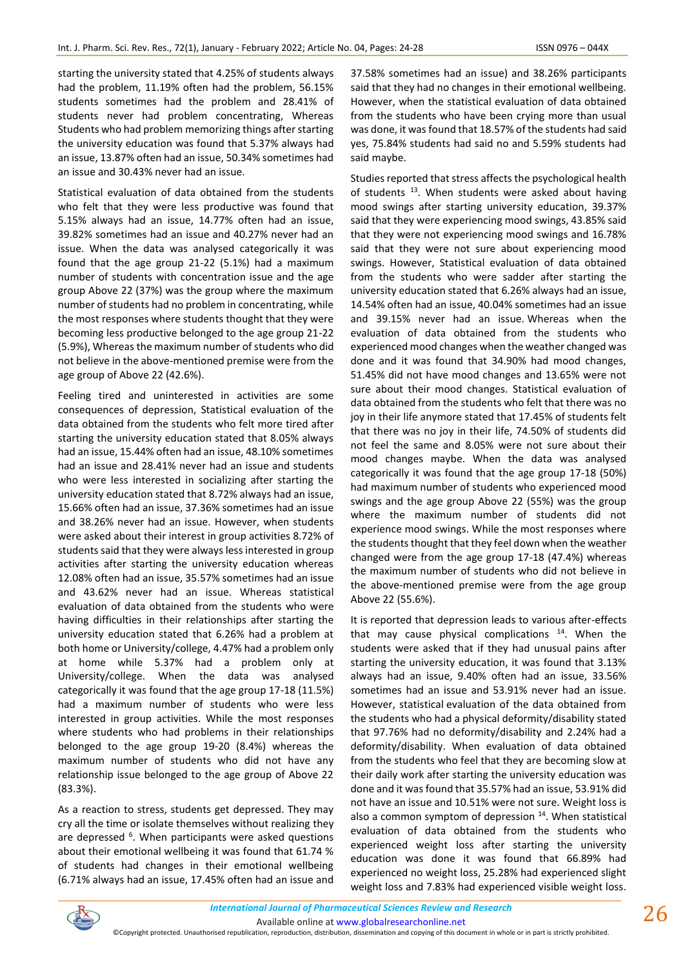starting the university stated that 4.25% of students always had the problem, 11.19% often had the problem, 56.15% students sometimes had the problem and 28.41% of students never had problem concentrating, Whereas Students who had problem memorizing things after starting the university education was found that 5.37% always had an issue, 13.87% often had an issue, 50.34% sometimes had an issue and 30.43% never had an issue.

Statistical evaluation of data obtained from the students who felt that they were less productive was found that 5.15% always had an issue, 14.77% often had an issue, 39.82% sometimes had an issue and 40.27% never had an issue. When the data was analysed categorically it was found that the age group 21-22 (5.1%) had a maximum number of students with concentration issue and the age group Above 22 (37%) was the group where the maximum number of students had no problem in concentrating, while the most responses where students thought that they were becoming less productive belonged to the age group 21-22 (5.9%), Whereas the maximum number of students who did not believe in the above-mentioned premise were from the age group of Above 22 (42.6%).

Feeling tired and uninterested in activities are some consequences of depression, Statistical evaluation of the data obtained from the students who felt more tired after starting the university education stated that 8.05% always had an issue, 15.44% often had an issue, 48.10% sometimes had an issue and 28.41% never had an issue and students who were less interested in socializing after starting the university education stated that 8.72% always had an issue, 15.66% often had an issue, 37.36% sometimes had an issue and 38.26% never had an issue. However, when students were asked about their interest in group activities 8.72% of students said that they were always less interested in group activities after starting the university education whereas 12.08% often had an issue, 35.57% sometimes had an issue and 43.62% never had an issue. Whereas statistical evaluation of data obtained from the students who were having difficulties in their relationships after starting the university education stated that 6.26% had a problem at both home or University/college, 4.47% had a problem only at home while 5.37% had a problem only at University/college. When the data was analysed categorically it was found that the age group 17-18 (11.5%) had a maximum number of students who were less interested in group activities. While the most responses where students who had problems in their relationships belonged to the age group 19-20 (8.4%) whereas the maximum number of students who did not have any relationship issue belonged to the age group of Above 22 (83.3%).

As a reaction to stress, students get depressed. They may cry all the time or isolate themselves without realizing they are depressed <sup>6</sup>. When participants were asked questions about their emotional wellbeing it was found that 61.74 % of students had changes in their emotional wellbeing (6.71% always had an issue, 17.45% often had an issue and

37.58% sometimes had an issue) and 38.26% participants said that they had no changes in their emotional wellbeing. However, when the statistical evaluation of data obtained from the students who have been crying more than usual was done, it was found that 18.57% of the students had said yes, 75.84% students had said no and 5.59% students had said maybe.

Studies reported that stress affects the psychological health of students  $13$ . When students were asked about having mood swings after starting university education, 39.37% said that they were experiencing mood swings, 43.85% said that they were not experiencing mood swings and 16.78% said that they were not sure about experiencing mood swings. However, Statistical evaluation of data obtained from the students who were sadder after starting the university education stated that 6.26% always had an issue, 14.54% often had an issue, 40.04% sometimes had an issue and 39.15% never had an issue. Whereas when the evaluation of data obtained from the students who experienced mood changes when the weather changed was done and it was found that 34.90% had mood changes, 51.45% did not have mood changes and 13.65% were not sure about their mood changes. Statistical evaluation of data obtained from the students who felt that there was no joy in their life anymore stated that 17.45% of students felt that there was no joy in their life, 74.50% of students did not feel the same and 8.05% were not sure about their mood changes maybe. When the data was analysed categorically it was found that the age group 17-18 (50%) had maximum number of students who experienced mood swings and the age group Above 22 (55%) was the group where the maximum number of students did not experience mood swings. While the most responses where the students thought that they feel down when the weather changed were from the age group 17-18 (47.4%) whereas the maximum number of students who did not believe in the above-mentioned premise were from the age group Above 22 (55.6%).

It is reported that depression leads to various after-effects that may cause physical complications  $14$ . When the students were asked that if they had unusual pains after starting the university education, it was found that 3.13% always had an issue, 9.40% often had an issue, 33.56% sometimes had an issue and 53.91% never had an issue. However, statistical evaluation of the data obtained from the students who had a physical deformity/disability stated that 97.76% had no deformity/disability and 2.24% had a deformity/disability. When evaluation of data obtained from the students who feel that they are becoming slow at their daily work after starting the university education was done and it was found that 35.57% had an issue, 53.91% did not have an issue and 10.51% were not sure. Weight loss is also a common symptom of depression <sup>14</sup>. When statistical evaluation of data obtained from the students who experienced weight loss after starting the university education was done it was found that 66.89% had experienced no weight loss, 25.28% had experienced slight weight loss and 7.83% had experienced visible weight loss.



*International Journal of Pharmaceutical Sciences Review and Research International Journal of Pharmaceutical Sciences Review and Research* Available online a[t www.globalresearchonline.net](http://www.globalresearchonline.net/)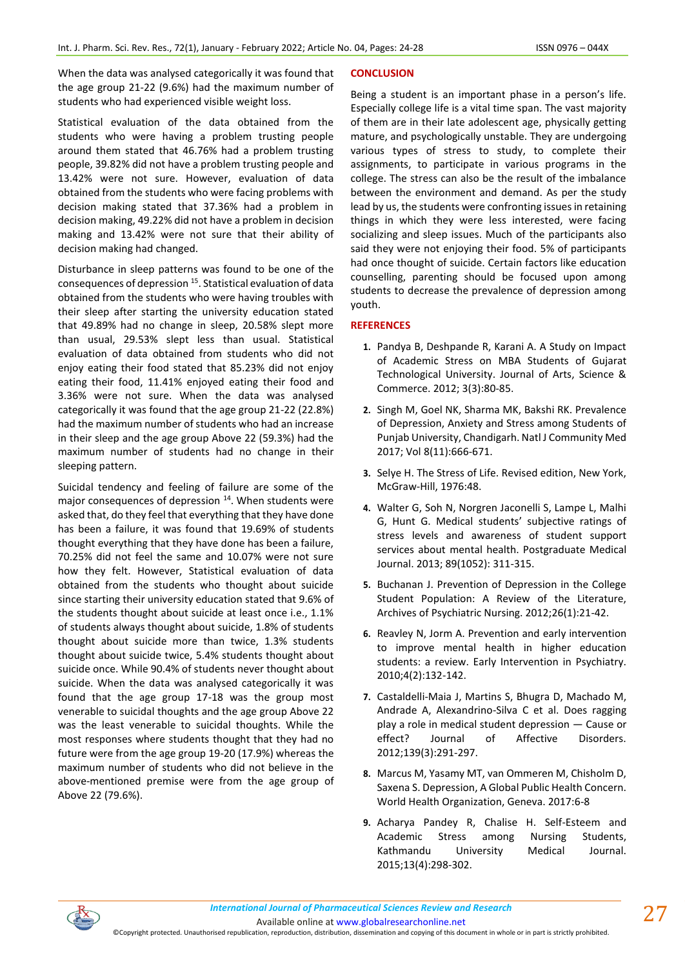When the data was analysed categorically it was found that the age group 21-22 (9.6%) had the maximum number of students who had experienced visible weight loss.

Statistical evaluation of the data obtained from the students who were having a problem trusting people around them stated that 46.76% had a problem trusting people, 39.82% did not have a problem trusting people and 13.42% were not sure. However, evaluation of data obtained from the students who were facing problems with decision making stated that 37.36% had a problem in decision making, 49.22% did not have a problem in decision making and 13.42% were not sure that their ability of decision making had changed.

Disturbance in sleep patterns was found to be one of the consequences of depression <sup>15</sup>. Statistical evaluation of data obtained from the students who were having troubles with their sleep after starting the university education stated that 49.89% had no change in sleep, 20.58% slept more than usual, 29.53% slept less than usual. Statistical evaluation of data obtained from students who did not enjoy eating their food stated that 85.23% did not enjoy eating their food, 11.41% enjoyed eating their food and 3.36% were not sure. When the data was analysed categorically it was found that the age group 21-22 (22.8%) had the maximum number of students who had an increase in their sleep and the age group Above 22 (59.3%) had the maximum number of students had no change in their sleeping pattern.

Suicidal tendency and feeling of failure are some of the major consequences of depression  $14$ . When students were asked that, do they feel that everything that they have done has been a failure, it was found that 19.69% of students thought everything that they have done has been a failure, 70.25% did not feel the same and 10.07% were not sure how they felt. However, Statistical evaluation of data obtained from the students who thought about suicide since starting their university education stated that 9.6% of the students thought about suicide at least once i.e., 1.1% of students always thought about suicide, 1.8% of students thought about suicide more than twice, 1.3% students thought about suicide twice, 5.4% students thought about suicide once. While 90.4% of students never thought about suicide. When the data was analysed categorically it was found that the age group 17-18 was the group most venerable to suicidal thoughts and the age group Above 22 was the least venerable to suicidal thoughts. While the most responses where students thought that they had no future were from the age group 19-20 (17.9%) whereas the maximum number of students who did not believe in the above-mentioned premise were from the age group of Above 22 (79.6%).

## **CONCLUSION**

Being a student is an important phase in a person's life. Especially college life is a vital time span. The vast majority of them are in their late adolescent age, physically getting mature, and psychologically unstable. They are undergoing various types of stress to study, to complete their assignments, to participate in various programs in the college. The stress can also be the result of the imbalance between the environment and demand. As per the study lead by us, the students were confronting issues in retaining things in which they were less interested, were facing socializing and sleep issues. Much of the participants also said they were not enjoying their food. 5% of participants had once thought of suicide. Certain factors like education counselling, parenting should be focused upon among students to decrease the prevalence of depression among youth.

# **REFERENCES**

- **1.** Pandya B, Deshpande R, Karani A. A Study on Impact of Academic Stress on MBA Students of Gujarat Technological University. Journal of Arts, Science & Commerce. 2012; 3(3):80-85.
- **2.** Singh M, Goel NK, Sharma MK, Bakshi RK. Prevalence of Depression, Anxiety and Stress among Students of Punjab University, Chandigarh. Natl J Community Med 2017; Vol 8(11):666-671.
- **3.** Selye H. The Stress of Life. Revised edition, New York, McGraw-Hill, 1976:48.
- **4.** Walter G, Soh N, Norgren Jaconelli S, Lampe L, Malhi G, Hunt G. Medical students' subjective ratings of stress levels and awareness of student support services about mental health. Postgraduate Medical Journal. 2013; 89(1052): 311-315.
- **5.** Buchanan J. Prevention of Depression in the College Student Population: A Review of the Literature, Archives of Psychiatric Nursing. 2012;26(1):21-42.
- **6.** Reavley N, Jorm A. Prevention and early intervention to improve mental health in higher education students: a review. Early Intervention in Psychiatry. 2010;4(2):132-142.
- **7.** Castaldelli-Maia J, Martins S, Bhugra D, Machado M, Andrade A, Alexandrino-Silva C et al. Does ragging play a role in medical student depression — Cause or effect? Journal of Affective Disorders. 2012;139(3):291-297.
- **8.** Marcus M, Yasamy MT, van Ommeren M, Chisholm D, Saxena S. Depression, A Global Public Health Concern. World Health Organization, Geneva. 2017:6-8
- **9.** Acharya Pandey R, Chalise H. Self-Esteem and Academic Stress among Nursing Students, Kathmandu University Medical Journal. 2015;13(4):298-302.



Available online a[t www.globalresearchonline.net](http://www.globalresearchonline.net/)